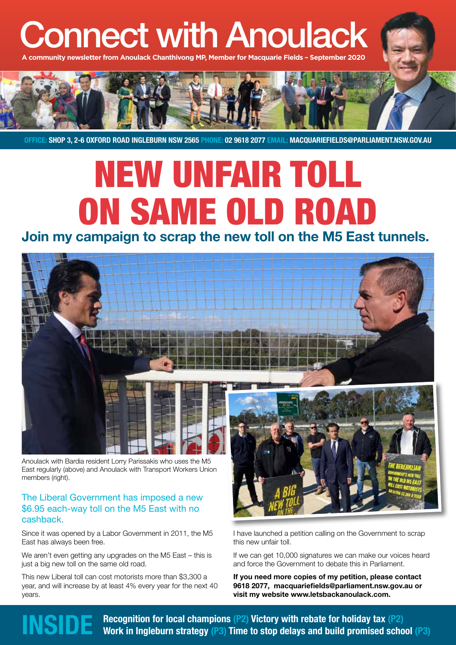# Connect with Anoulack

community newsletter from Anoulack Chanthivong MP, Member for Macquarie Fields -



**OFFICE: SHOP 3, 2-6 OXFORD ROAD INGLEBURN NSW 2565 PHONE: 02 9618 2077 EMAIL: MACQUARIEFIELDS@PARLIAMENT.NSW.GOV.AU**

# NEW UNFAIR TOLL ON SAME OLD ROAD

### **Join my campaign to scrap the new toll on the M5 East tunnels.**



Anoulack with Bardia resident Lorry Parissakis who uses the M5 East regularly (above) and Anoulack with Transport Workers Union members (right).

### The Liberal Government has imposed a new \$6.95 each-way toll on the M5 East with no cashback.

Since it was opened by a Labor Government in 2011, the M5 East has always been free.

We aren't even getting any upgrades on the M5 East – this is just a big new toll on the same old road.

This new Liberal toll can cost motorists more than \$3,300 a year, and will increase by at least 4% every year for the next 40 years.



I have launched a petition calling on the Government to scrap this new unfair toll.

If we can get 10,000 signatures we can make our voices heard and force the Government to debate this in Parliament.

**If you need more copies of my petition, please contact 9618 2077, macquariefields@parliament.nsw.gov.au or visit my website www.letsbackanoulack.com.**

**Recognition for local champions (P2) Victory with rebate for holiday tax (P2)**<br>**INSIDE** Work in Ingleburn strategy (P3) Time to stop delays and build promised school (P3)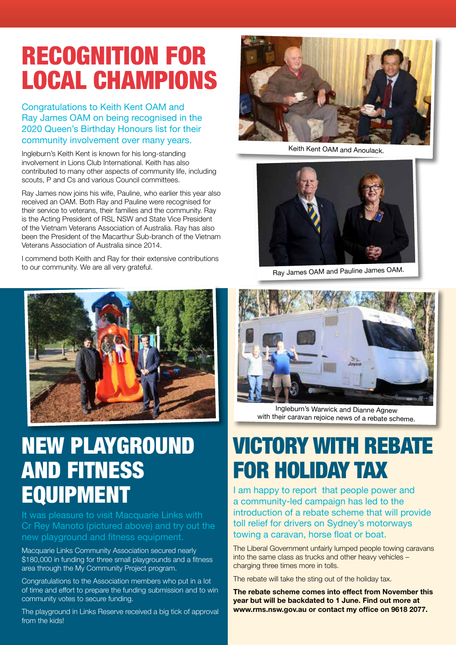## RECOGNITION FOR LOCAL CHAMPIONS

Congratulations to Keith Kent OAM and Ray James OAM on being recognised in the 2020 Queen's Birthday Honours list for their community involvement over many years.

Ingleburn's Keith Kent is known for his long-standing involvement in Lions Club International. Keith has also contributed to many other aspects of community life, including scouts, P and Cs and various Council committees.

Ray James now joins his wife, Pauline, who earlier this year also received an OAM. Both Ray and Pauline were recognised for their service to veterans, their families and the community. Ray is the Acting President of RSL NSW and State Vice President of the Vietnam Veterans Association of Australia. Ray has also been the President of the Macarthur Sub-branch of the Vietnam Veterans Association of Australia since 2014.

I commend both Keith and Ray for their extensive contributions to our community. We are all very grateful.



## NEW PLAYGROUND AND FITNESS EQUIPMENT

It was pleasure to visit Macquarie Links with Cr Rey Manoto (pictured above) and try out the new playground and fitness equipment.

Macquarie Links Community Association secured nearly \$180,000 in funding for three small playgrounds and a fitness area through the My Community Project program.

Congratulations to the Association members who put in a lot of time and effort to prepare the funding submission and to win community votes to secure funding.

The playground in Links Reserve received a big tick of approval from the kids!



Keith Kent OAM and Anoulack.



Ray James OAM and Pauline James OAM.



Ingleburn's Warwick and Dianne Agnew with their caravan rejoice news of a rebate scheme.

## VICTORY WITH REBATE FOR HOLIDAY TAX

I am happy to report that people power and a community-led campaign has led to the introduction of a rebate scheme that will provide toll relief for drivers on Sydney's motorways towing a caravan, horse float or boat.

The Liberal Government unfairly lumped people towing caravans into the same class as trucks and other heavy vehicles – charging three times more in tolls.

The rebate will take the sting out of the holiday tax.

**The rebate scheme comes into effect from November this year but will be backdated to 1 June. Find out more at www.rms.nsw.gov.au or contact my office on 9618 2077.**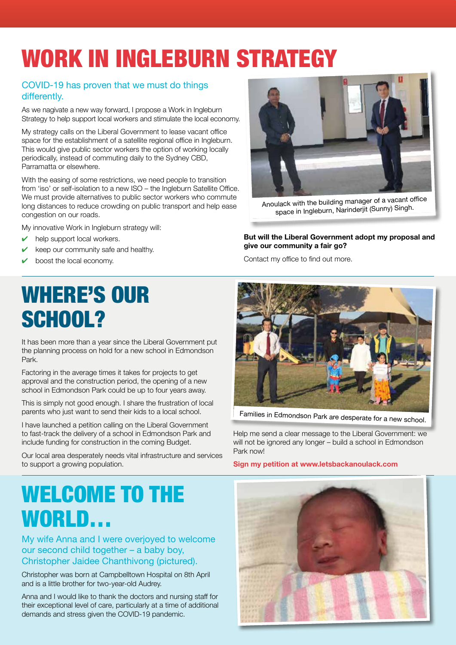## WORK IN INGLEBURN STRATEGY

### COVID-19 has proven that we must do things differently.

As we nagivate a new way forward, I propose a Work in Ingleburn Strategy to help support local workers and stimulate the local economy.

My strategy calls on the Liberal Government to lease vacant office space for the establishment of a satellite regional office in Ingleburn. This would give public sector workers the option of working locally periodically, instead of commuting daily to the Sydney CBD, Parramatta or elsewhere.

With the easing of some restrictions, we need people to transition from 'iso' or self-isolation to a new ISO – the Ingleburn Satellite Office. We must provide alternatives to public sector workers who commute long distances to reduce crowding on public transport and help ease congestion on our roads.

My innovative Work in Ingleburn strategy will:

- help support local workers.
- keep our community safe and healthy.
- boost the local economy.

## WHERE'S OUR SCHOOL?

It has been more than a year since the Liberal Government put the planning process on hold for a new school in Edmondson Park.

Factoring in the average times it takes for projects to get approval and the construction period, the opening of a new school in Edmondson Park could be up to four years away.

This is simply not good enough. I share the frustration of local parents who just want to send their kids to a local school.

I have launched a petition calling on the Liberal Government to fast-track the delivery of a school in Edmondson Park and include funding for construction in the coming Budget.

Our local area desperately needs vital infrastructure and services to support a growing population.



Anoulack with the building manager of a vacant office space in Ingleburn, Narinderjit (Sunny) Singh.

#### **But will the Liberal Government adopt my proposal and give our community a fair go?**

Contact my office to find out more.



Families in Edmondson Park are desperate for a new school.

Help me send a clear message to the Liberal Government: we will not be ignored any longer – build a school in Edmondson Park now!

**Sign my petition at www.letsbackanoulack.com**

## WELCOME TO THE WORLD…

My wife Anna and I were overjoyed to welcome our second child together – a baby boy, Christopher Jaidee Chanthivong (pictured).

Christopher was born at Campbelltown Hospital on 8th April and is a little brother for two-year-old Audrey.

Anna and I would like to thank the doctors and nursing staff for their exceptional level of care, particularly at a time of additional demands and stress given the COVID-19 pandemic.